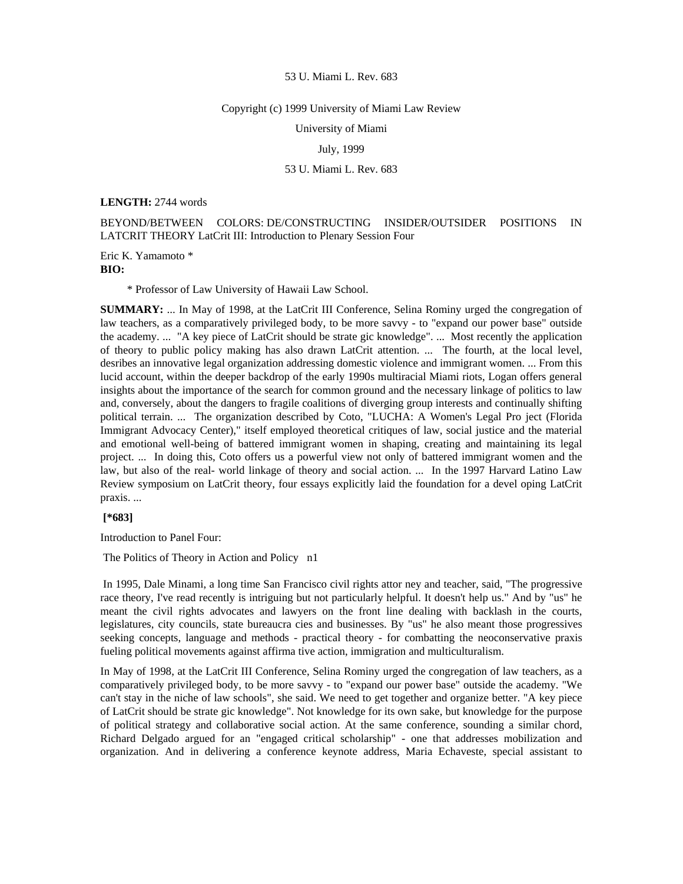### Copyright (c) 1999 University of Miami Law Review

University of Miami

## July, 1999

## 53 U. Miami L. Rev. 683

### **LENGTH:** 2744 words

# BEYOND/BETWEEN COLORS: DE/CONSTRUCTING INSIDER/OUTSIDER POSITIONS IN LATCRIT THEORY LatCrit III: Introduction to Plenary Session Four

Eric K. Yamamoto \* **BIO:** 

\* Professor of Law University of Hawaii Law School.

**SUMMARY:** ... In May of 1998, at the LatCrit III Conference, Selina Rominy urged the congregation of law teachers, as a comparatively privileged body, to be more savvy - to "expand our power base" outside the academy. ... "A key piece of LatCrit should be strate gic knowledge". ... Most recently the application of theory to public policy making has also drawn LatCrit attention. ... The fourth, at the local level, desribes an innovative legal organization addressing domestic violence and immigrant women. ... From this lucid account, within the deeper backdrop of the early 1990s multiracial Miami riots, Logan offers general insights about the importance of the search for common ground and the necessary linkage of politics to law and, conversely, about the dangers to fragile coalitions of diverging group interests and continually shifting political terrain. ... The organization described by Coto, "LUCHA: A Women's Legal Pro ject (Florida Immigrant Advocacy Center)," itself employed theoretical critiques of law, social justice and the material and emotional well-being of battered immigrant women in shaping, creating and maintaining its legal project. ... In doing this, Coto offers us a powerful view not only of battered immigrant women and the law, but also of the real- world linkage of theory and social action. ... In the 1997 Harvard Latino Law Review symposium on LatCrit theory, four essays explicitly laid the foundation for a devel oping LatCrit praxis. ...

# **[\*683]**

Introduction to Panel Four:

The Politics of Theory in Action and Policy n1

 In 1995, Dale Minami, a long time San Francisco civil rights attor ney and teacher, said, "The progressive race theory, I've read recently is intriguing but not particularly helpful. It doesn't help us." And by "us" he meant the civil rights advocates and lawyers on the front line dealing with backlash in the courts, legislatures, city councils, state bureaucra cies and businesses. By "us" he also meant those progressives seeking concepts, language and methods - practical theory - for combatting the neoconservative praxis fueling political movements against affirma tive action, immigration and multiculturalism.

In May of 1998, at the LatCrit III Conference, Selina Rominy urged the congregation of law teachers, as a comparatively privileged body, to be more savvy - to "expand our power base" outside the academy. "We can't stay in the niche of law schools", she said. We need to get together and organize better. "A key piece of LatCrit should be strate gic knowledge". Not knowledge for its own sake, but knowledge for the purpose of political strategy and collaborative social action. At the same conference, sounding a similar chord, Richard Delgado argued for an "engaged critical scholarship" - one that addresses mobilization and organization. And in delivering a conference keynote address, Maria Echaveste, special assistant to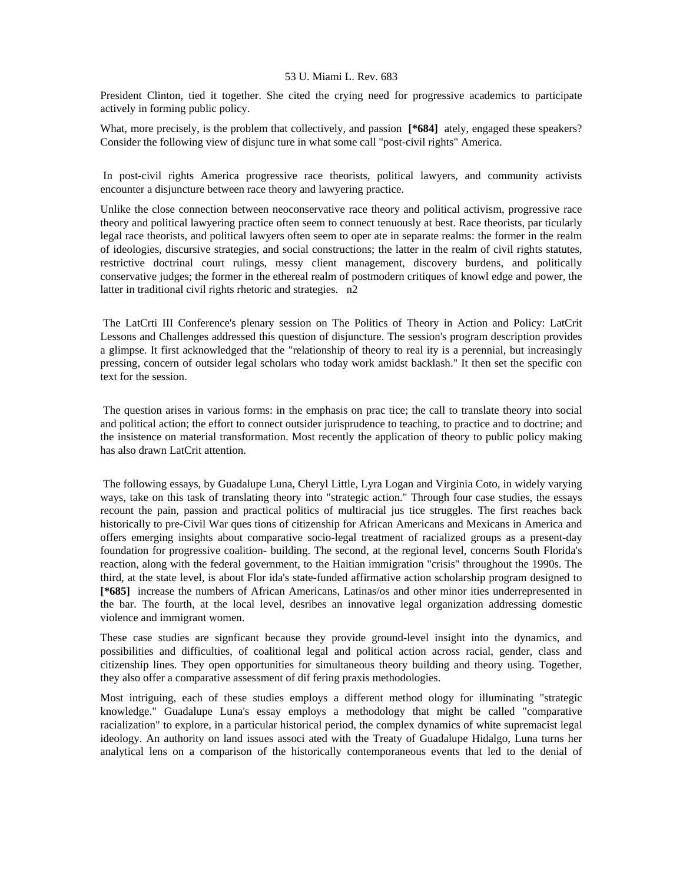President Clinton, tied it together. She cited the crying need for progressive academics to participate actively in forming public policy.

What, more precisely, is the problem that collectively, and passion [\*684] ately, engaged these speakers? Consider the following view of disjunc ture in what some call "post-civil rights" America.

 In post-civil rights America progressive race theorists, political lawyers, and community activists encounter a disjuncture between race theory and lawyering practice.

Unlike the close connection between neoconservative race theory and political activism, progressive race theory and political lawyering practice often seem to connect tenuously at best. Race theorists, par ticularly legal race theorists, and political lawyers often seem to oper ate in separate realms: the former in the realm of ideologies, discursive strategies, and social constructions; the latter in the realm of civil rights statutes, restrictive doctrinal court rulings, messy client management, discovery burdens, and politically conservative judges; the former in the ethereal realm of postmodern critiques of knowl edge and power, the latter in traditional civil rights rhetoric and strategies. n2

 The LatCrti III Conference's plenary session on The Politics of Theory in Action and Policy: LatCrit Lessons and Challenges addressed this question of disjuncture. The session's program description provides a glimpse. It first acknowledged that the "relationship of theory to real ity is a perennial, but increasingly pressing, concern of outsider legal scholars who today work amidst backlash." It then set the specific con text for the session.

 The question arises in various forms: in the emphasis on prac tice; the call to translate theory into social and political action; the effort to connect outsider jurisprudence to teaching, to practice and to doctrine; and the insistence on material transformation. Most recently the application of theory to public policy making has also drawn LatCrit attention.

 The following essays, by Guadalupe Luna, Cheryl Little, Lyra Logan and Virginia Coto, in widely varying ways, take on this task of translating theory into "strategic action." Through four case studies, the essays recount the pain, passion and practical politics of multiracial jus tice struggles. The first reaches back historically to pre-Civil War ques tions of citizenship for African Americans and Mexicans in America and offers emerging insights about comparative socio-legal treatment of racialized groups as a present-day foundation for progressive coalition- building. The second, at the regional level, concerns South Florida's reaction, along with the federal government, to the Haitian immigration "crisis" throughout the 1990s. The third, at the state level, is about Flor ida's state-funded affirmative action scholarship program designed to **[\*685]** increase the numbers of African Americans, Latinas/os and other minor ities underrepresented in the bar. The fourth, at the local level, desribes an innovative legal organization addressing domestic violence and immigrant women.

These case studies are signficant because they provide ground-level insight into the dynamics, and possibilities and difficulties, of coalitional legal and political action across racial, gender, class and citizenship lines. They open opportunities for simultaneous theory building and theory using. Together, they also offer a comparative assessment of dif fering praxis methodologies.

Most intriguing, each of these studies employs a different method ology for illuminating "strategic knowledge." Guadalupe Luna's essay employs a methodology that might be called "comparative racialization" to explore, in a particular historical period, the complex dynamics of white supremacist legal ideology. An authority on land issues associ ated with the Treaty of Guadalupe Hidalgo, Luna turns her analytical lens on a comparison of the historically contemporaneous events that led to the denial of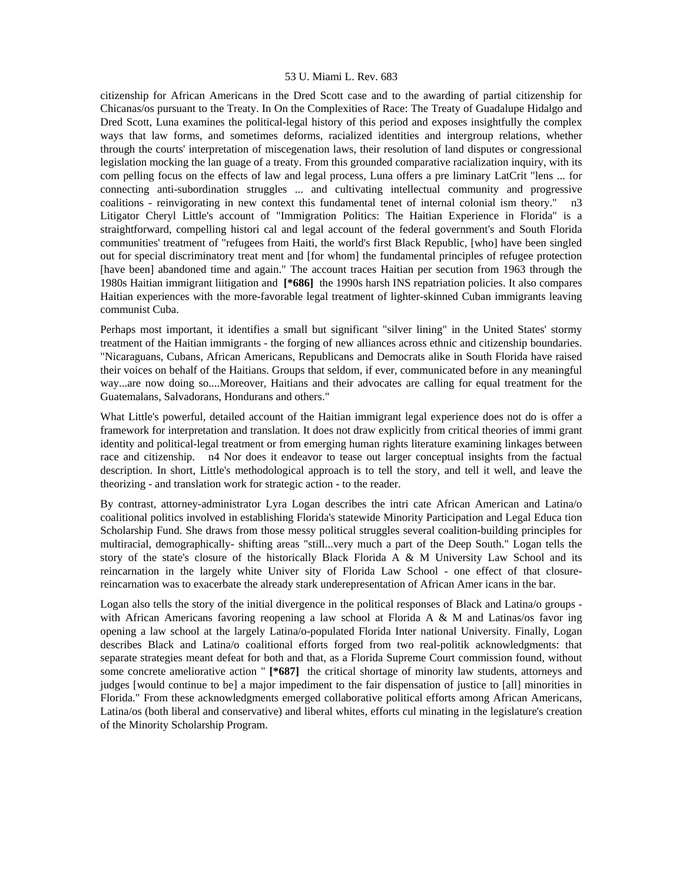citizenship for African Americans in the Dred Scott case and to the awarding of partial citizenship for Chicanas/os pursuant to the Treaty. In On the Complexities of Race: The Treaty of Guadalupe Hidalgo and Dred Scott, Luna examines the political-legal history of this period and exposes insightfully the complex ways that law forms, and sometimes deforms, racialized identities and intergroup relations, whether through the courts' interpretation of miscegenation laws, their resolution of land disputes or congressional legislation mocking the lan guage of a treaty. From this grounded comparative racialization inquiry, with its com pelling focus on the effects of law and legal process, Luna offers a pre liminary LatCrit "lens ... for connecting anti-subordination struggles ... and cultivating intellectual community and progressive coalitions - reinvigorating in new context this fundamental tenet of internal colonial ism theory." n3 Litigator Cheryl Little's account of "Immigration Politics: The Haitian Experience in Florida" is a straightforward, compelling histori cal and legal account of the federal government's and South Florida communities' treatment of "refugees from Haiti, the world's first Black Republic, [who] have been singled out for special discriminatory treat ment and [for whom] the fundamental principles of refugee protection [have been] abandoned time and again." The account traces Haitian per secution from 1963 through the 1980s Haitian immigrant liitigation and **[\*686]** the 1990s harsh INS repatriation policies. It also compares Haitian experiences with the more-favorable legal treatment of lighter-skinned Cuban immigrants leaving communist Cuba.

Perhaps most important, it identifies a small but significant "silver lining" in the United States' stormy treatment of the Haitian immigrants - the forging of new alliances across ethnic and citizenship boundaries. "Nicaraguans, Cubans, African Americans, Republicans and Democrats alike in South Florida have raised their voices on behalf of the Haitians. Groups that seldom, if ever, communicated before in any meaningful way...are now doing so....Moreover, Haitians and their advocates are calling for equal treatment for the Guatemalans, Salvadorans, Hondurans and others."

What Little's powerful, detailed account of the Haitian immigrant legal experience does not do is offer a framework for interpretation and translation. It does not draw explicitly from critical theories of immi grant identity and political-legal treatment or from emerging human rights literature examining linkages between race and citizenship. n4 Nor does it endeavor to tease out larger conceptual insights from the factual description. In short, Little's methodological approach is to tell the story, and tell it well, and leave the theorizing - and translation work for strategic action - to the reader.

By contrast, attorney-administrator Lyra Logan describes the intri cate African American and Latina/o coalitional politics involved in establishing Florida's statewide Minority Participation and Legal Educa tion Scholarship Fund. She draws from those messy political struggles several coalition-building principles for multiracial, demographically- shifting areas "still...very much a part of the Deep South." Logan tells the story of the state's closure of the historically Black Florida A  $\&$  M University Law School and its reincarnation in the largely white Univer sity of Florida Law School - one effect of that closurereincarnation was to exacerbate the already stark underepresentation of African Amer icans in the bar.

Logan also tells the story of the initial divergence in the political responses of Black and Latina/o groups with African Americans favoring reopening a law school at Florida A  $\&$  M and Latinas/os favor ing opening a law school at the largely Latina/o-populated Florida Inter national University. Finally, Logan describes Black and Latina/o coalitional efforts forged from two real-politik acknowledgments: that separate strategies meant defeat for both and that, as a Florida Supreme Court commission found, without some concrete ameliorative action " **[\*687]** the critical shortage of minority law students, attorneys and judges [would continue to be] a major impediment to the fair dispensation of justice to [all] minorities in Florida." From these acknowledgments emerged collaborative political efforts among African Americans, Latina/os (both liberal and conservative) and liberal whites, efforts cul minating in the legislature's creation of the Minority Scholarship Program.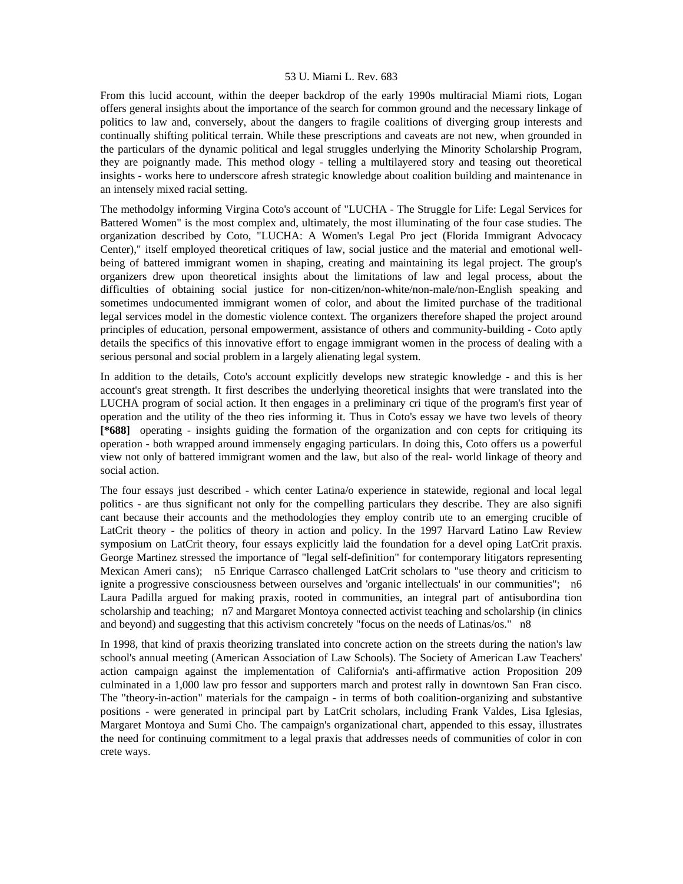From this lucid account, within the deeper backdrop of the early 1990s multiracial Miami riots, Logan offers general insights about the importance of the search for common ground and the necessary linkage of politics to law and, conversely, about the dangers to fragile coalitions of diverging group interests and continually shifting political terrain. While these prescriptions and caveats are not new, when grounded in the particulars of the dynamic political and legal struggles underlying the Minority Scholarship Program, they are poignantly made. This method ology - telling a multilayered story and teasing out theoretical insights - works here to underscore afresh strategic knowledge about coalition building and maintenance in an intensely mixed racial setting.

The methodolgy informing Virgina Coto's account of "LUCHA - The Struggle for Life: Legal Services for Battered Women" is the most complex and, ultimately, the most illuminating of the four case studies. The organization described by Coto, "LUCHA: A Women's Legal Pro ject (Florida Immigrant Advocacy Center)," itself employed theoretical critiques of law, social justice and the material and emotional wellbeing of battered immigrant women in shaping, creating and maintaining its legal project. The group's organizers drew upon theoretical insights about the limitations of law and legal process, about the difficulties of obtaining social justice for non-citizen/non-white/non-male/non-English speaking and sometimes undocumented immigrant women of color, and about the limited purchase of the traditional legal services model in the domestic violence context. The organizers therefore shaped the project around principles of education, personal empowerment, assistance of others and community-building - Coto aptly details the specifics of this innovative effort to engage immigrant women in the process of dealing with a serious personal and social problem in a largely alienating legal system.

In addition to the details, Coto's account explicitly develops new strategic knowledge - and this is her account's great strength. It first describes the underlying theoretical insights that were translated into the LUCHA program of social action. It then engages in a preliminary cri tique of the program's first year of operation and the utility of the theo ries informing it. Thus in Coto's essay we have two levels of theory **[\*688]** operating - insights guiding the formation of the organization and con cepts for critiquing its operation - both wrapped around immensely engaging particulars. In doing this, Coto offers us a powerful view not only of battered immigrant women and the law, but also of the real- world linkage of theory and social action.

The four essays just described - which center Latina/o experience in statewide, regional and local legal politics - are thus significant not only for the compelling particulars they describe. They are also signifi cant because their accounts and the methodologies they employ contrib ute to an emerging crucible of LatCrit theory - the politics of theory in action and policy. In the 1997 Harvard Latino Law Review symposium on LatCrit theory, four essays explicitly laid the foundation for a devel oping LatCrit praxis. George Martinez stressed the importance of "legal self-definition" for contemporary litigators representing Mexican Ameri cans); n5 Enrique Carrasco challenged LatCrit scholars to "use theory and criticism to ignite a progressive consciousness between ourselves and 'organic intellectuals' in our communities"; n6 Laura Padilla argued for making praxis, rooted in communities, an integral part of antisubordina tion scholarship and teaching; n7 and Margaret Montoya connected activist teaching and scholarship (in clinics and beyond) and suggesting that this activism concretely "focus on the needs of Latinas/os." n8

In 1998, that kind of praxis theorizing translated into concrete action on the streets during the nation's law school's annual meeting (American Association of Law Schools). The Society of American Law Teachers' action campaign against the implementation of California's anti-affirmative action Proposition 209 culminated in a 1,000 law pro fessor and supporters march and protest rally in downtown San Fran cisco. The "theory-in-action" materials for the campaign - in terms of both coalition-organizing and substantive positions - were generated in principal part by LatCrit scholars, including Frank Valdes, Lisa Iglesias, Margaret Montoya and Sumi Cho. The campaign's organizational chart, appended to this essay, illustrates the need for continuing commitment to a legal praxis that addresses needs of communities of color in con crete ways.